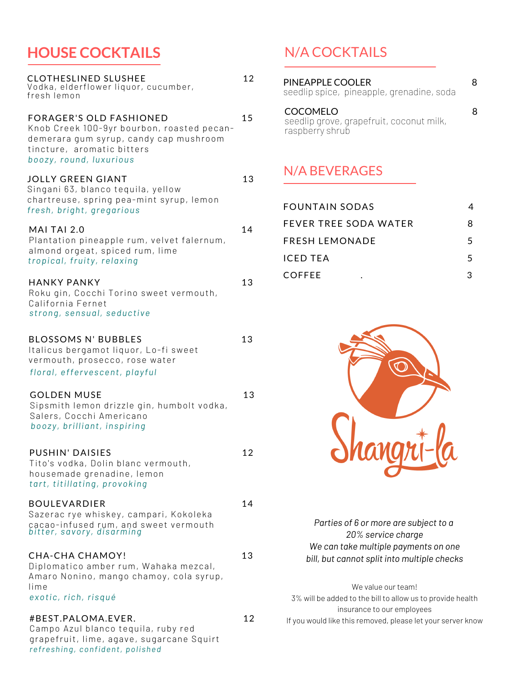### **HOUSE COCKTAILS**

| CLOTHESLINED SLUSHEE<br>Vodka, elderflower liquor, cucumber,<br>fresh lemon                                                                                                     | 12 |
|---------------------------------------------------------------------------------------------------------------------------------------------------------------------------------|----|
| <b>FORAGER'S OLD FASHIONED</b><br>Knob Creek 100-9yr bourbon, roasted pecan-<br>demerara gum syrup, candy cap mushroom<br>tincture, aromatic bitters<br>boozy, round, luxurious | 15 |
| JOLLY GREEN GIANT<br>Singani 63, blanco tequila, yellow<br>chartreuse, spring pea-mint syrup, lemon<br>fresh, bright, gregarious                                                | 13 |
| MAI TAI 2.0<br>Plantation pineapple rum, velvet falernum,<br>almond orgeat, spiced rum, lime<br>tropical, fruity, relaxing                                                      | 14 |
| <b>HANKY PANKY</b><br>Roku gin, Cocchi Torino sweet vermouth,<br>California Fernet<br>strong, sensual, seductive                                                                | 13 |
| <b>BLOSSOMS N' BUBBLES</b><br>Italicus bergamot liquor, Lo-fi sweet<br>vermouth, prosecco, rose water<br>floral, effervescent, playful                                          | 13 |
| <b>GOLDEN MUSE</b><br>Sipsmith lemon drizzle gin, humbolt vodka,<br>Salers, Cocchi Americano<br>boozy, brilliant, inspiring                                                     | 13 |
| <b>PUSHIN' DAISIES</b><br>Tito's vodka, Dolin blanc vermouth,<br>housemade grenadine, lemon<br>tart, titillating, provoking                                                     | 12 |
| <b>BOULEVARDIER</b><br>Sazerac rye whiskey, campari, Kokoleka<br>cacao-infused rum, and sweet vermouth<br>bitter, savory, disarming                                             | 14 |
| <b>CHA-CHA CHAMOY!</b><br>Diplomatico amber rum, Wahaka mezcal,<br>Amaro Nonino, mango chamoy, cola syrup,<br>lime<br>exotic, rich, risqué                                      | 13 |
| #BEST.PALOMA.EVER.<br>Campo Azul blanco tequila, ruby red<br>grapefruit, lime, agave, sugarcane Squirt                                                                          | 12 |

*refreshing, confident, polished*

N/A COCKTAILS

| PINEAPPLE COOLER<br>seedlip spice, pineapple, grenadine, soda                  |  |
|--------------------------------------------------------------------------------|--|
| <b>COCOMELO</b><br>seedlip grove, grapefruit, coconut milk,<br>raspberry shrub |  |

#### N/A BEVERAGES

| FOUNTAIN SODAS               | 4  |
|------------------------------|----|
| <b>FEVER TREE SODA WATER</b> | 8  |
| FRESH LEMONADE               | 5. |
| ICED TEA                     | 5. |
| <b>COFFEE</b>                |    |



*Parties of 6 or more are subject to a 20% service charge We can take multiple payments on one bill, but cannot split into multiple checks*

We value our team! 3% will be added to the bill to allow us to provide health insurance to our employees If you would like this removed, please let your server know